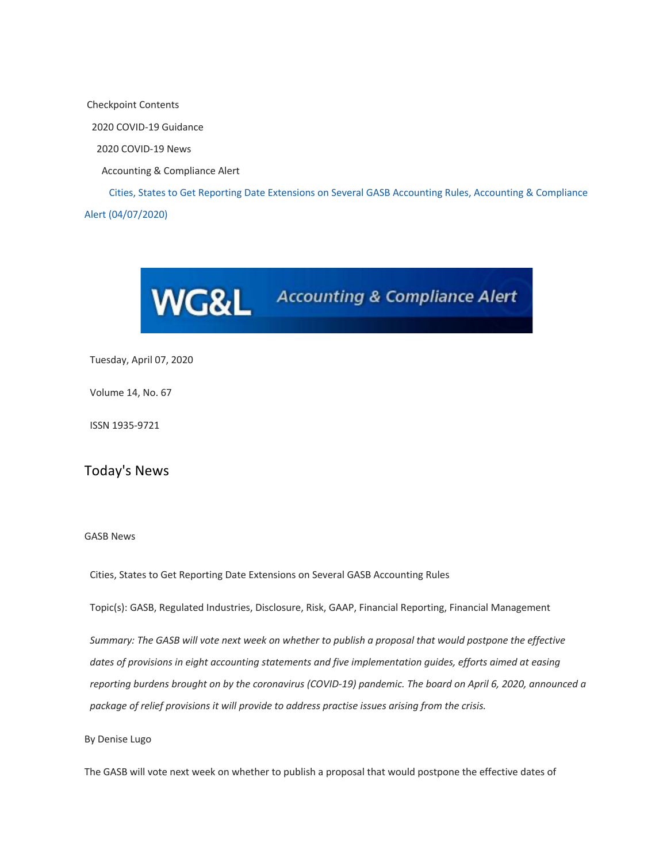Checkpoint Contents 2020 COVID-19 Guidance 2020 COVID-19 News Accounting & Compliance Alert Cities, States to Get Reporting Date Extensions on Several GASB Accounting Rules, Accounting & Compliance Alert (04/07/2020)



Tuesday, April 07, 2020

Volume 14, No. 67

ISSN 1935-9721

Today's News

## GASB News

Cities, States to Get Reporting Date Extensions on Several GASB Accounting Rules

Topic(s): GASB, Regulated Industries, Disclosure, Risk, GAAP, Financial Reporting, Financial Management

*Summary: The GASB will vote next week on whether to publish a proposal that would postpone the effective dates of provisions in eight accounting statements and five implementation guides, efforts aimed at easing reporting burdens brought on by the coronavirus (COVID-19) pandemic. The board on April 6, 2020, announced a package of relief provisions it will provide to address practise issues arising from the crisis.* 

## By Denise Lugo

The GASB will vote next week on whether to publish a proposal that would postpone the effective dates of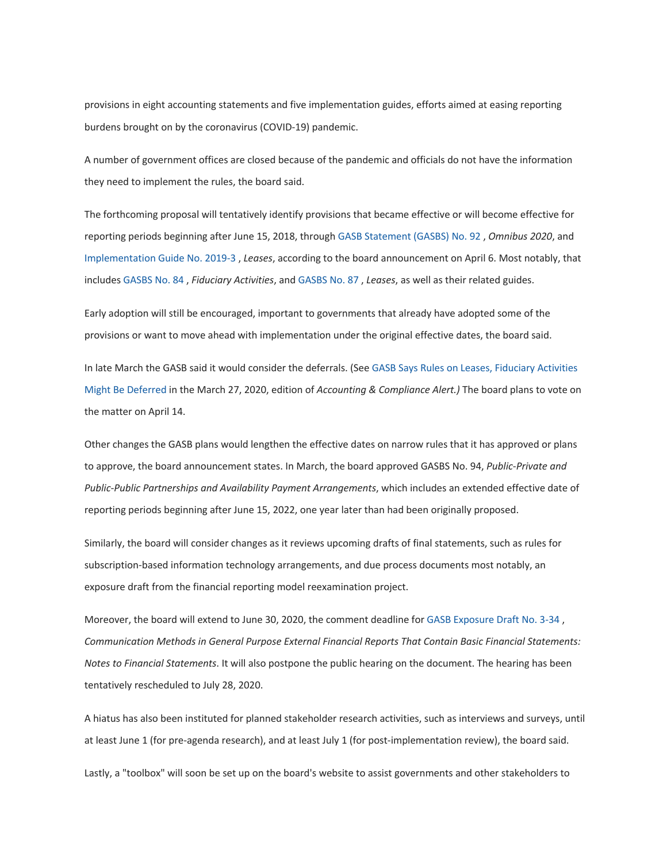provisions in eight accounting statements and five implementation guides, efforts aimed at easing reporting burdens brought on by the coronavirus (COVID-19) pandemic.

A number of government offices are closed because of the pandemic and officials do not have the information they need to implement the rules, the board said.

The forthcoming proposal will tentatively identify provisions that became effective or will become effective for reporting periods beginning after June 15, 2018, through GASB Statement (GASBS) No. 92 , *Omnibus 2020*, and Implementation Guide No. 2019-3 , *Leases*, according to the board announcement on April 6. Most notably, that includes GASBS No. 84 , *Fiduciary Activities*, and GASBS No. 87 , *Leases*, as well as their related guides.

Early adoption will still be encouraged, important to governments that already have adopted some of the provisions or want to move ahead with implementation under the original effective dates, the board said.

In late March the GASB said it would consider the deferrals. (See GASB Says Rules on Leases, Fiduciary Activities Might Be Deferred in the March 27, 2020, edition of *Accounting & Compliance Alert.)* The board plans to vote on the matter on April 14.

Other changes the GASB plans would lengthen the effective dates on narrow rules that it has approved or plans to approve, the board announcement states. In March, the board approved GASBS No. 94, *Public-Private and Public-Public Partnerships and Availability Payment Arrangements*, which includes an extended effective date of reporting periods beginning after June 15, 2022, one year later than had been originally proposed.

Similarly, the board will consider changes as it reviews upcoming drafts of final statements, such as rules for subscription-based information technology arrangements, and due process documents most notably, an exposure draft from the financial reporting model reexamination project.

Moreover, the board will extend to June 30, 2020, the comment deadline for GASB Exposure Draft No. 3-34 , *Communication Methods in General Purpose External Financial Reports That Contain Basic Financial Statements: Notes to Financial Statements*. It will also postpone the public hearing on the document. The hearing has been tentatively rescheduled to July 28, 2020.

A hiatus has also been instituted for planned stakeholder research activities, such as interviews and surveys, until at least June 1 (for pre-agenda research), and at least July 1 (for post-implementation review), the board said.

Lastly, a "toolbox" will soon be set up on the board's website to assist governments and other stakeholders to